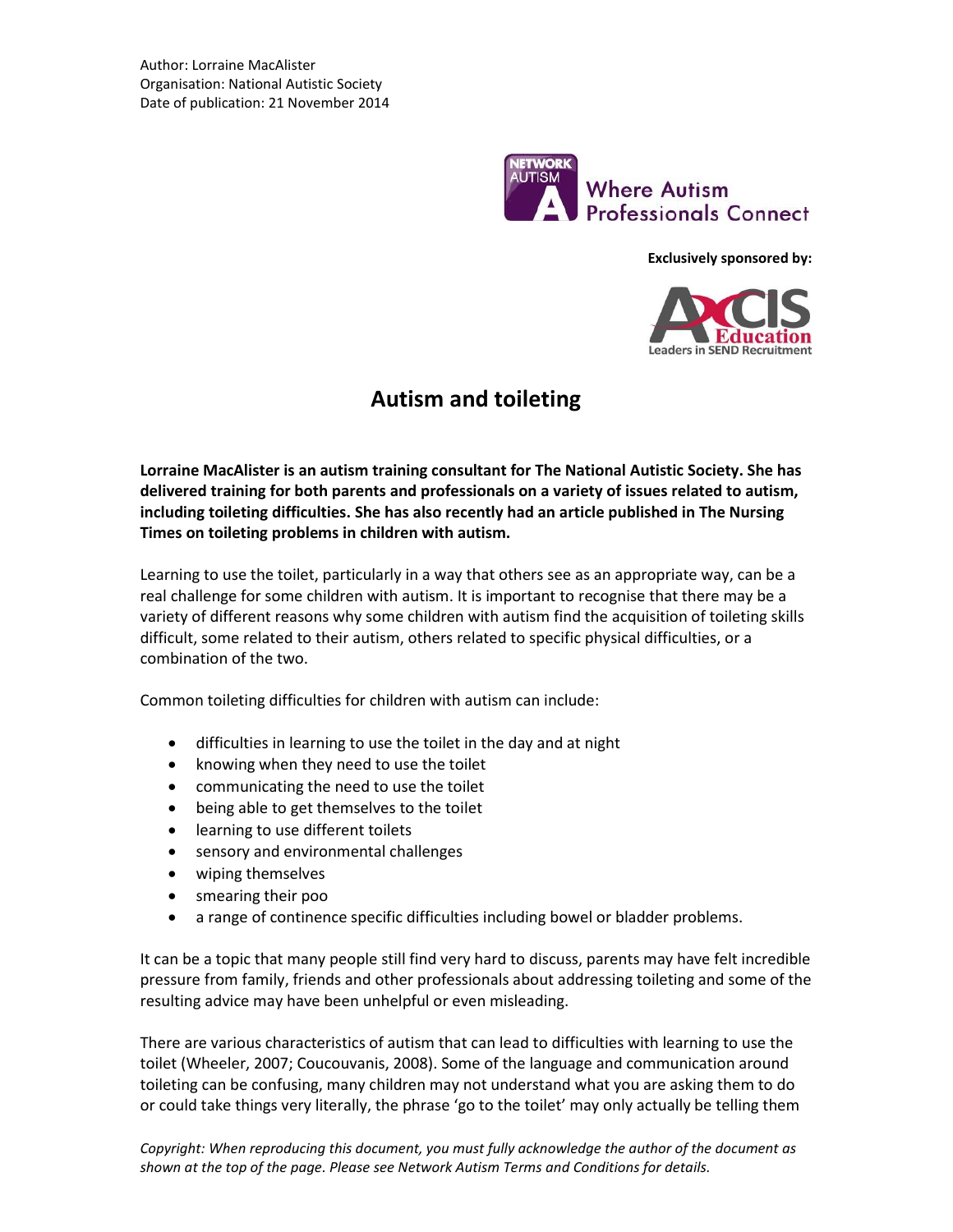

**Exclusively sponsored by:**



# **Autism and toileting**

**Lorraine MacAlister is an autism training consultant for The National Autistic Society. She has delivered training for both parents and professionals on a variety of issues related to autism, including toileting difficulties. She has also recently had an article published in The Nursing Times on toileting problems in children with autism.**

Learning to use the toilet, particularly in a way that others see as an appropriate way, can be a real challenge for some children with autism. It is important to recognise that there may be a variety of different reasons why some children with autism find the acquisition of toileting skills difficult, some related to their autism, others related to specific physical difficulties, or a combination of the two.

Common toileting difficulties for children with autism can include:

- difficulties in learning to use the toilet in the day and at night
- knowing when they need to use the toilet
- communicating the need to use the toilet
- being able to get themselves to the toilet
- learning to use different toilets
- sensory and environmental challenges
- wiping themselves
- smearing their poo
- a range of continence specific difficulties including bowel or bladder problems.

It can be a topic that many people still find very hard to discuss, parents may have felt incredible pressure from family, friends and other professionals about addressing toileting and some of the resulting advice may have been unhelpful or even misleading.

There are various characteristics of autism that can lead to difficulties with learning to use the toilet (Wheeler, 2007; Coucouvanis, 2008). Some of the language and communication around toileting can be confusing, many children may not understand what you are asking them to do or could take things very literally, the phrase 'go to the toilet' may only actually be telling them

*Copyright: When reproducing this document, you must fully acknowledge the author of the document as shown at the top of the page. Please see Network Autism Terms and Conditions for details.*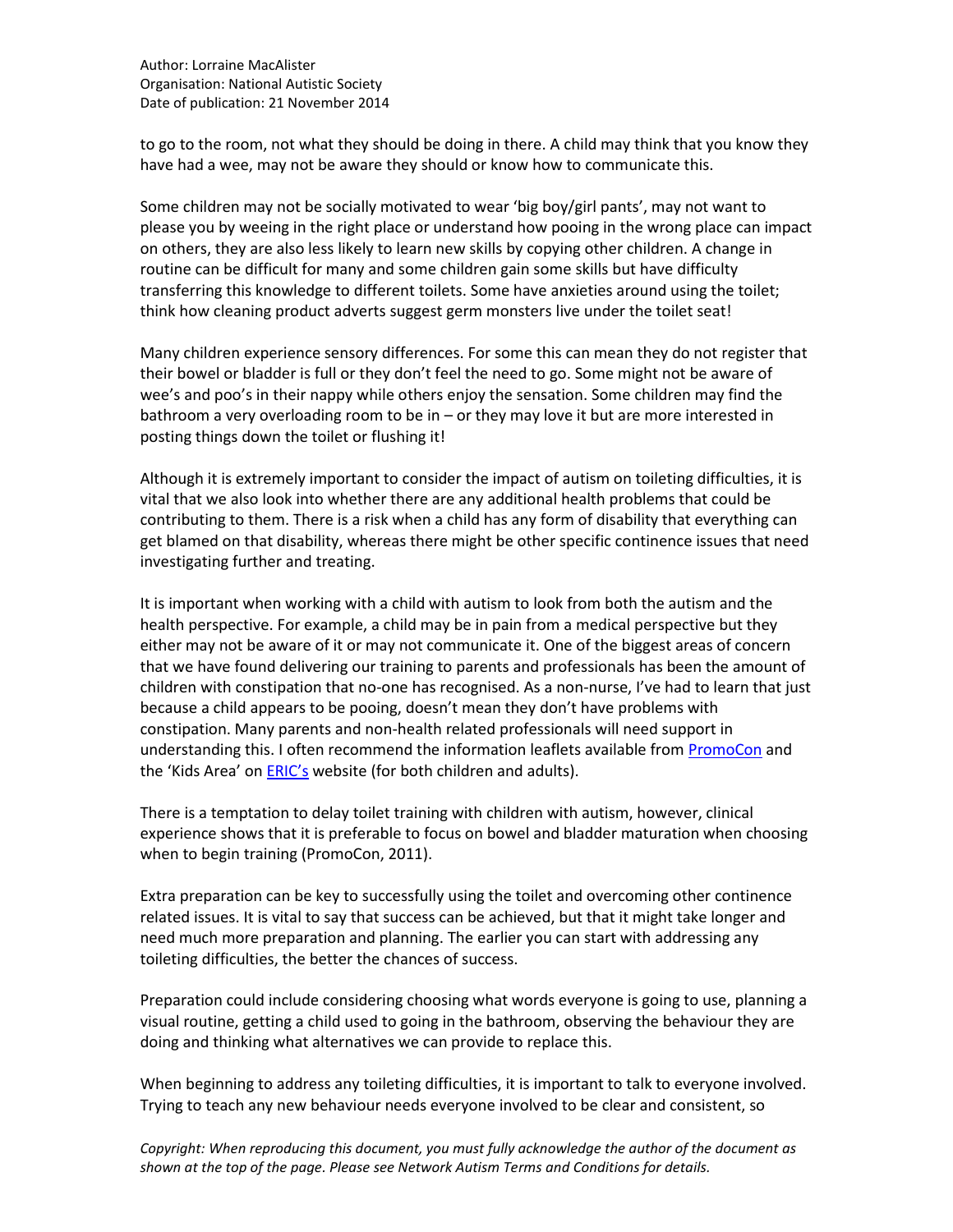to go to the room, not what they should be doing in there. A child may think that you know they have had a wee, may not be aware they should or know how to communicate this.

Some children may not be socially motivated to wear 'big boy/girl pants', may not want to please you by weeing in the right place or understand how pooing in the wrong place can impact on others, they are also less likely to learn new skills by copying other children. A change in routine can be difficult for many and some children gain some skills but have difficulty transferring this knowledge to different toilets. Some have anxieties around using the toilet; think how cleaning product adverts suggest germ monsters live under the toilet seat!

Many children experience sensory differences. For some this can mean they do not register that their bowel or bladder is full or they don't feel the need to go. Some might not be aware of wee's and poo's in their nappy while others enjoy the sensation. Some children may find the bathroom a very overloading room to be in – or they may love it but are more interested in posting things down the toilet or flushing it!

Although it is extremely important to consider the impact of autism on toileting difficulties, it is vital that we also look into whether there are any additional health problems that could be contributing to them. There is a risk when a child has any form of disability that everything can get blamed on that disability, whereas there might be other specific continence issues that need investigating further and treating.

It is important when working with a child with autism to look from both the autism and the health perspective. For example, a child may be in pain from a medical perspective but they either may not be aware of it or may not communicate it. One of the biggest areas of concern that we have found delivering our training to parents and professionals has been the amount of children with constipation that no-one has recognised. As a non-nurse, I've had to learn that just because a child appears to be pooing, doesn't mean they don't have problems with constipation. Many parents and non-health related professionals will need support in understanding this. I often recommend the information leaflets available from [PromoCon](http://www.promocon.co.uk/) and the 'Kids Area' on [ERIC's](http://www.eric.org.uk/) website (for both children and adults).

There is a temptation to delay toilet training with children with autism, however, clinical experience shows that it is preferable to focus on bowel and bladder maturation when choosing when to begin training (PromoCon, 2011).

Extra preparation can be key to successfully using the toilet and overcoming other continence related issues. It is vital to say that success can be achieved, but that it might take longer and need much more preparation and planning. The earlier you can start with addressing any toileting difficulties, the better the chances of success.

Preparation could include considering choosing what words everyone is going to use, planning a visual routine, getting a child used to going in the bathroom, observing the behaviour they are doing and thinking what alternatives we can provide to replace this.

When beginning to address any toileting difficulties, it is important to talk to everyone involved. Trying to teach any new behaviour needs everyone involved to be clear and consistent, so

*Copyright: When reproducing this document, you must fully acknowledge the author of the document as shown at the top of the page. Please see Network Autism Terms and Conditions for details.*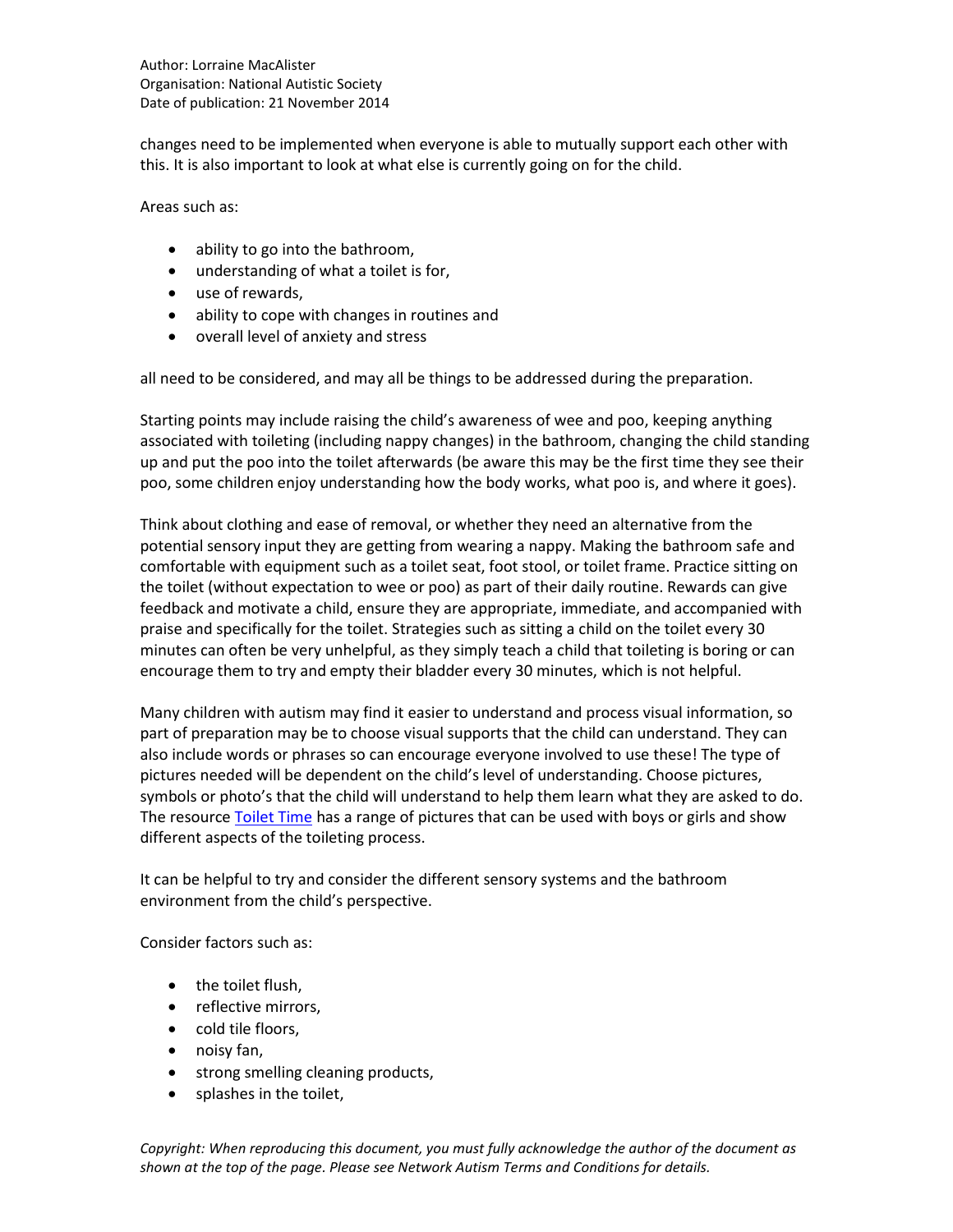Author: Lorraine MacAlister Organisation: National Autistic Society Date of publication: 21 November 2014

changes need to be implemented when everyone is able to mutually support each other with this. It is also important to look at what else is currently going on for the child.

Areas such as:

- ability to go into the bathroom,
- understanding of what a toilet is for,
- use of rewards,
- ability to cope with changes in routines and
- overall level of anxiety and stress

all need to be considered, and may all be things to be addressed during the preparation.

Starting points may include raising the child's awareness of wee and poo, keeping anything associated with toileting (including nappy changes) in the bathroom, changing the child standing up and put the poo into the toilet afterwards (be aware this may be the first time they see their poo, some children enjoy understanding how the body works, what poo is, and where it goes).

Think about clothing and ease of removal, or whether they need an alternative from the potential sensory input they are getting from wearing a nappy. Making the bathroom safe and comfortable with equipment such as a toilet seat, foot stool, or toilet frame. Practice sitting on the toilet (without expectation to wee or poo) as part of their daily routine. Rewards can give feedback and motivate a child, ensure they are appropriate, immediate, and accompanied with praise and specifically for the toilet. Strategies such as sitting a child on the toilet every 30 minutes can often be very unhelpful, as they simply teach a child that toileting is boring or can encourage them to try and empty their bladder every 30 minutes, which is not helpful.

Many children with autism may find it easier to understand and process visual information, so part of preparation may be to choose visual supports that the child can understand. They can also include words or phrases so can encourage everyone involved to use these! The type of pictures needed will be dependent on the child's level of understanding. Choose pictures, symbols or photo's that the child will understand to help them learn what they are asked to do. The resource [Toilet Time](http://www.sensetoys.com/) has a range of pictures that can be used with boys or girls and show different aspects of the toileting process.

It can be helpful to try and consider the different sensory systems and the bathroom environment from the child's perspective.

Consider factors such as:

- the toilet flush,
- reflective mirrors,
- cold tile floors,
- noisy fan,
- strong smelling cleaning products,
- splashes in the toilet,

*Copyright: When reproducing this document, you must fully acknowledge the author of the document as shown at the top of the page. Please see Network Autism Terms and Conditions for details.*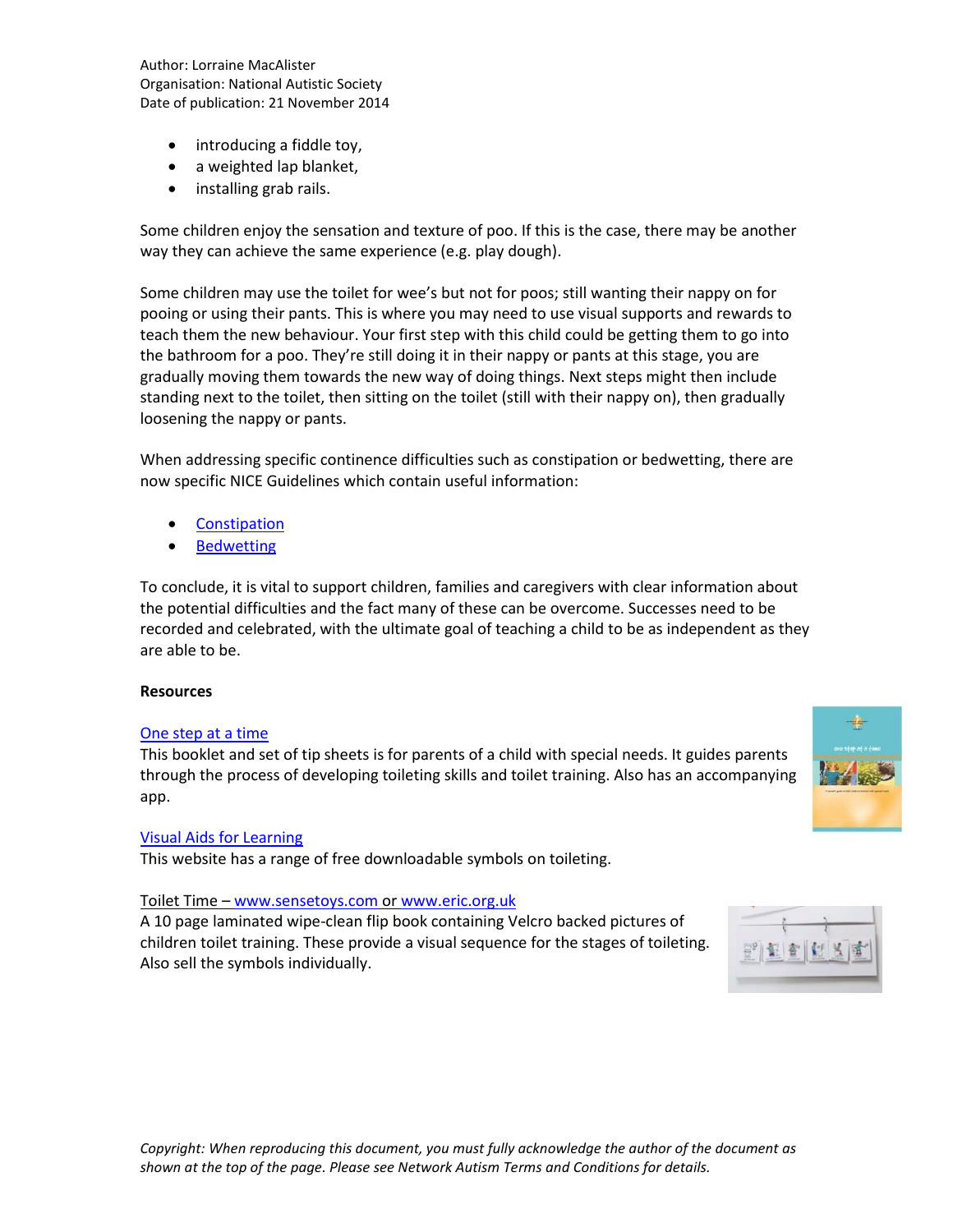Author: Lorraine MacAlister Organisation: National Autistic Society Date of publication: 21 November 2014

- introducing a fiddle toy,
- a weighted lap blanket,
- installing grab rails.

Some children enjoy the sensation and texture of poo. If this is the case, there may be another way they can achieve the same experience (e.g. play dough).

Some children may use the toilet for wee's but not for poos; still wanting their nappy on for pooing or using their pants. This is where you may need to use visual supports and rewards to teach them the new behaviour. Your first step with this child could be getting them to go into the bathroom for a poo. They're still doing it in their nappy or pants at this stage, you are gradually moving them towards the new way of doing things. Next steps might then include standing next to the toilet, then sitting on the toilet (still with their nappy on), then gradually loosening the nappy or pants.

When addressing specific continence difficulties such as constipation or bedwetting, there are now specific NICE Guidelines which contain useful information:

- **Constipation**
- [Bedwetting](http://guidance.nice.org.uk/CG111/NICEGuidance/pdf/English)

To conclude, it is vital to support children, families and caregivers with clear information about the potential difficulties and the fact many of these can be overcome. Successes need to be recorded and celebrated, with the ultimate goal of teaching a child to be as independent as they are able to be.

### **Resources**

#### [One step at a time](http://www.continencevictoria.org.au/resources/one-step-time)

This booklet and set of tip sheets is for parents of a child with special needs. It guides parents through the process of developing toileting skills and toilet training. Also has an accompanying app.

#### [Visual Aids for Learning](http://www.visualaidsforlearning.com/)

This website has a range of free downloadable symbols on toileting.

#### Toilet Time – [www.sensetoys.com](http://www.sensetoys.com/) o[r www.eric.org.uk](http://www.eric.org.uk/)

A 10 page laminated wipe-clean flip book containing Velcro backed pictures of children toilet training. These provide a visual sequence for the stages of toileting. Also sell the symbols individually.